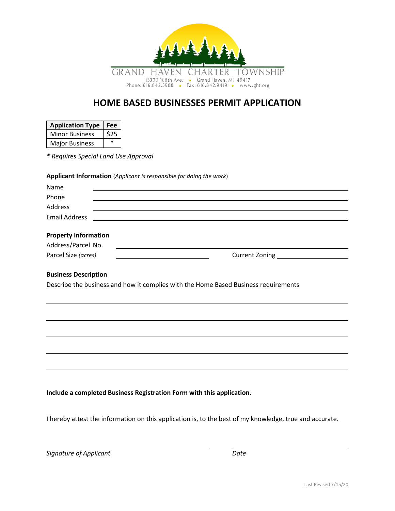

## **HOME BASED BUSINESSES PERMIT APPLICATION**

| <b>Application Type</b> | Fee     |
|-------------------------|---------|
| <b>Minor Business</b>   | \$25    |
| <b>Major Business</b>   | $\star$ |

*\* Requires Special Land Use Approval*

**Applicant Information** (*Applicant is responsible for doing the work*)

| Name                        |                                                                                                                      |
|-----------------------------|----------------------------------------------------------------------------------------------------------------------|
| Phone                       |                                                                                                                      |
| Address                     | ,我们也不会有什么。""我们的人,我们也不会有什么?""我们的人,我们也不会有什么?""我们的人,我们也不会有什么?""我们的人,我们也不会有什么?""我们的人                                     |
| <b>Email Address</b>        | and the control of the control of the control of the control of the control of the control of the control of the     |
| <b>Property Information</b> |                                                                                                                      |
| Address/Parcel No.          | <u> 1989 - Johann Stoff, amerikansk politiker (d. 1989)</u>                                                          |
| Parcel Size (acres)         | <u> 1980 - Johann Barn, mars ann an t-Amhain Aonaich an t-Aonaich an t-Aonaich ann an t-Aonaich ann an t-Aonaich</u> |
| <b>Business Description</b> | Describe the business and how it complies with the Home Based Business requirements                                  |
|                             |                                                                                                                      |
|                             |                                                                                                                      |
|                             |                                                                                                                      |
|                             |                                                                                                                      |
|                             |                                                                                                                      |

**Include a completed Business Registration Form with this application.**

I hereby attest the information on this application is, to the best of my knowledge, true and accurate.

*Signature of Applicant Date*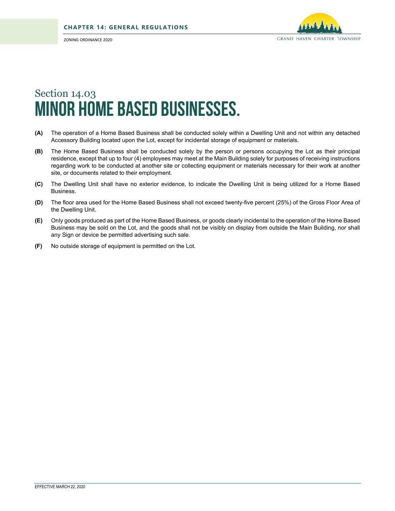

## Section 14.03 Minor Home Based Businesses.

- **(A)** The operation of a Home Based Business shall be conducted solely within a Dwelling Unit and not within any detached Accessory Building located upon the Lot, except for incidental storage of equipment or materials.
- **(B)** The Home Based Business shall be conducted solely by the person or persons occupying the Lot as their principal residence, except that up to four (4) employees may meet at the Main Building solely for purposes of receiving instructions regarding work to be conducted at another site or collecting equipment or materials necessary for their work at another site, or documents related to their employment.
- **(C)** The Dwelling Unit shall have no exterior evidence, to indicate the Dwelling Unit is being utilized for a Home Based Business.
- **(D)** The floor area used for the Home Based Business shall not exceed twenty-five percent (25%) of the Gross Floor Area of the Dwelling Unit.
- **(E)** Only goods produced as part of the Home Based Business, or goods clearly incidental to the operation of the Home Based Business may be sold on the Lot, and the goods shall not be visibly on display from outside the Main Building, nor shall any Sign or device be permitted advertising such sale.
- **(F)** No outside storage of equipment is permitted on the Lot.